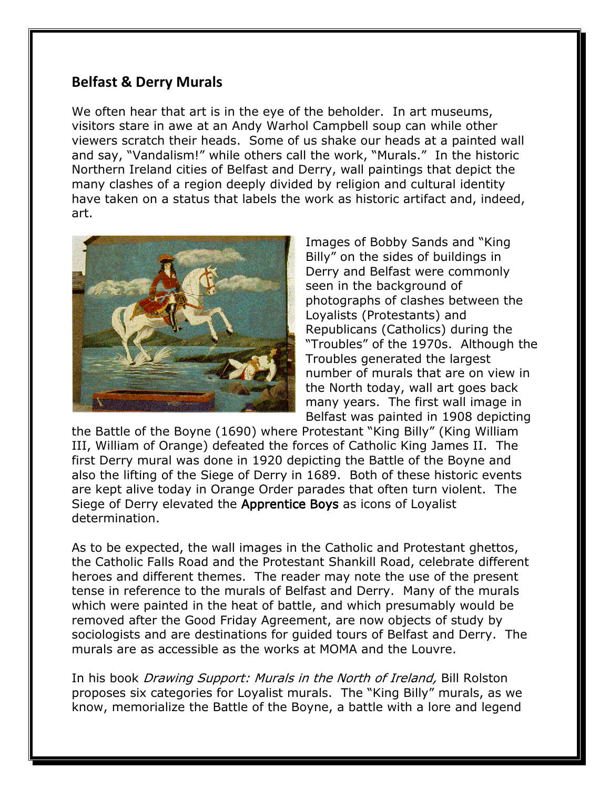## **Belfast & Derry Murals**

We often hear that art is in the eye of the beholder. In art museums, visitors stare in awe at an Andy Warhol Campbell soup can while other viewers scratch their heads. Some of us shake our heads at a painted wall and say, "Vandalism!" while others call the work, "Murals." In the historic Northern Ireland cities of Belfast and Derry, wall paintings that depict the many clashes of a region deeply divided by religion and cultural identity have taken on a status that labels the work as historic artifact and, indeed, art.



Images of Bobby Sands and "King Billy" on the sides of buildings in Derry and Belfast were commonly seen in the background of photographs of clashes between the Loyalists (Protestants) and Republicans (Catholics) during the "Troubles" of the 1970s. Although the Troubles generated the largest number of murals that are on view in the North today, wall art goes back many years. The first wall image in Belfast was painted in 1908 depicting

the Battle of the Boyne (1690) where Protestant "King Billy" (King William III, William of Orange) defeated the forces of Catholic King James II. The first Derry mural was done in 1920 depicting the Battle of the Boyne and also the lifting of the Siege of Derry in 1689. Both of these historic events are kept alive today in Orange Order parades that often turn violent. The Siege of Derry elevated the Apprentice Boys as icons of Loyalist determination.

As to be expected, the wall images in the Catholic and Protestant ghettos, the Catholic Falls Road and the Protestant Shankill Road, celebrate different heroes and different themes. The reader may note the use of the present tense in reference to the murals of Belfast and Derry. Many of the murals which were painted in the heat of battle, and which presumably would be removed after the Good Friday Agreement, are now objects of study by sociologists and are destinations for guided tours of Belfast and Derry. The murals are as accessible as the works at MOMA and the Louvre.

In his book *Drawing Support: Murals in the North of Ireland*, Bill Rolston proposes six categories for Loyalist murals. The "King Billy" murals, as we know, memorialize the Battle of the Boyne, a battle with a lore and legend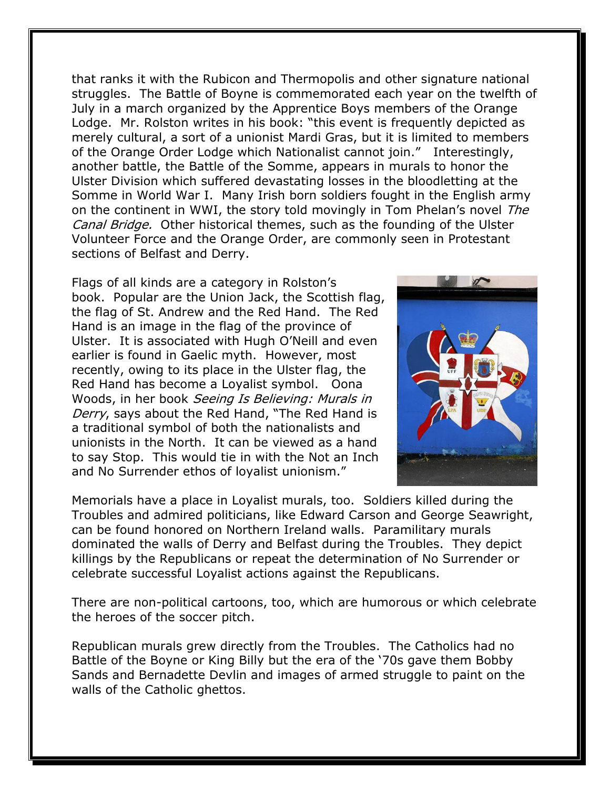that ranks it with the Rubicon and Thermopolis and other signature national struggles. The Battle of Boyne is commemorated each year on the twelfth of July in a march organized by the Apprentice Boys members of the Orange Lodge. Mr. Rolston writes in his book: "this event is frequently depicted as merely cultural, a sort of a unionist Mardi Gras, but it is limited to members of the Orange Order Lodge which Nationalist cannot join." Interestingly, another battle, the Battle of the Somme, appears in murals to honor the Ulster Division which suffered devastating losses in the bloodletting at the Somme in World War I. Many Irish born soldiers fought in the English army on the continent in WWI, the story told movingly in Tom Phelan's novel The Canal Bridge. Other historical themes, such as the founding of the Ulster Volunteer Force and the Orange Order, are commonly seen in Protestant sections of Belfast and Derry.

Flags of all kinds are a category in Rolston's book. Popular are the Union Jack, the Scottish flag, the flag of St. Andrew and the Red Hand. The Red Hand is an image in the flag of the province of Ulster. It is associated with Hugh O'Neill and even earlier is found in Gaelic myth. However, most recently, owing to its place in the Ulster flag, the Red Hand has become a Loyalist symbol. Oona Woods, in her book Seeing Is Believing: Murals in Derry, says about the Red Hand, "The Red Hand is a traditional symbol of both the nationalists and unionists in the North. It can be viewed as a hand to say Stop. This would tie in with the Not an Inch and No Surrender ethos of loyalist unionism."



Memorials have a place in Loyalist murals, too. Soldiers killed during the Troubles and admired politicians, like Edward Carson and George Seawright, can be found honored on Northern Ireland walls. Paramilitary murals dominated the walls of Derry and Belfast during the Troubles. They depict killings by the Republicans or repeat the determination of No Surrender or celebrate successful Loyalist actions against the Republicans.

There are non-political cartoons, too, which are humorous or which celebrate the heroes of the soccer pitch.

Republican murals grew directly from the Troubles. The Catholics had no Battle of the Boyne or King Billy but the era of the '70s gave them Bobby Sands and Bernadette Devlin and images of armed struggle to paint on the walls of the Catholic ghettos.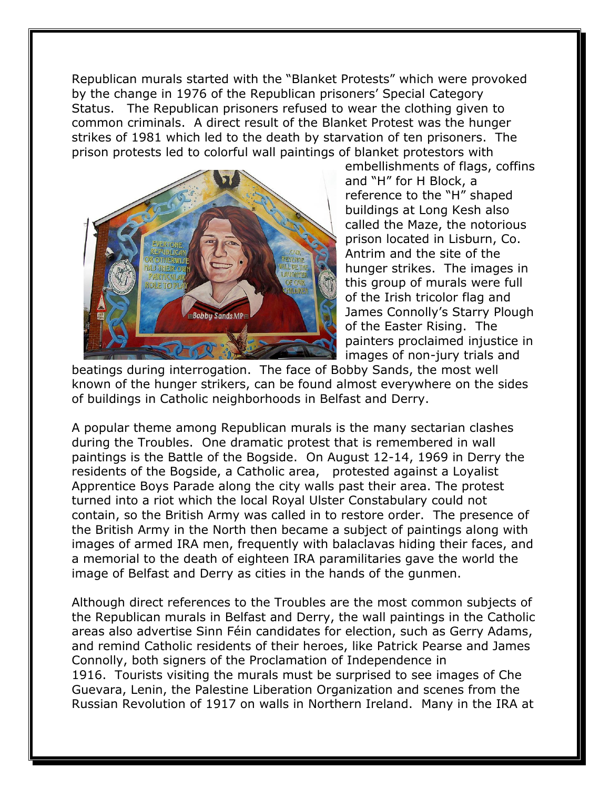Republican murals started with the "Blanket Protests" which were provoked by the change in 1976 of the Republican prisoners' Special Category Status. The Republican prisoners refused to wear the clothing given to common criminals. A direct result of the Blanket Protest was the hunger strikes of 1981 which led to the death by starvation of ten prisoners. The prison protests led to colorful wall paintings of blanket protestors with



embellishments of flags, coffins and "H" for H Block, a reference to the "H" shaped buildings at Long Kesh also called the Maze, the notorious prison located in Lisburn, Co. Antrim and the site of the hunger strikes. The images in this group of murals were full of the Irish tricolor flag and James Connolly's Starry Plough of the Easter Rising. The painters proclaimed injustice in images of non-jury trials and

beatings during interrogation. The face of Bobby Sands, the most well known of the hunger strikers, can be found almost everywhere on the sides of buildings in Catholic neighborhoods in Belfast and Derry.

A popular theme among Republican murals is the many sectarian clashes during the Troubles. One dramatic protest that is remembered in wall paintings is the Battle of the Bogside. On August 12-14, 1969 in Derry the residents of the Bogside, a Catholic area, protested against a Loyalist Apprentice Boys Parade along the city walls past their area. The protest turned into a riot which the local Royal Ulster Constabulary could not contain, so the British Army was called in to restore order. The presence of the British Army in the North then became a subject of paintings along with images of armed IRA men, frequently with balaclavas hiding their faces, and a memorial to the death of eighteen IRA paramilitaries gave the world the image of Belfast and Derry as cities in the hands of the gunmen.

Although direct references to the Troubles are the most common subjects of the Republican murals in Belfast and Derry, the wall paintings in the Catholic areas also advertise Sinn Féin candidates for election, such as Gerry Adams, and remind Catholic residents of their heroes, like Patrick Pearse and James Connolly, both signers of the Proclamation of Independence in 1916. Tourists visiting the murals must be surprised to see images of Che Guevara, Lenin, the Palestine Liberation Organization and scenes from the Russian Revolution of 1917 on walls in Northern Ireland. Many in the IRA at